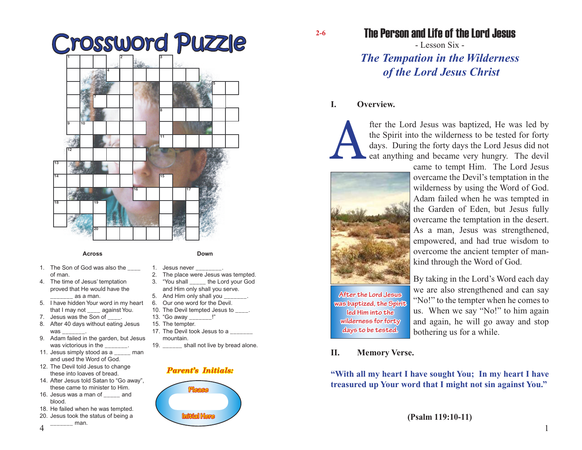# Crossword Puzzle



#### **Across**

- 
- 1. The Son of God was also the \_\_\_\_ of man.
- 4. The time of Jesus' temptation proved that He would have the \_\_\_\_\_\_\_ as a man.
- 5. I have hidden Your word in my heart that I may not equainst You.
- 7. Jesus was the Son of \_\_\_\_.
- 8. After 40 days without eating Jesus was
- 9. Adam failed in the garden, but Jesus was victorious in the  $\qquad \qquad$ .
- 11. Jesus simply stood as a \_\_\_\_\_ man and used the Word of God.
- 12. The Devil told Jesus to change these into loaves of bread.
- 14. After Jesus told Satan to "Go away", these came to minister to Him.
- 16. Jesus was a man of \_\_\_\_\_ and blood.
- 18. He failed when he was tempted.
- 20. Jesus took the status of being a \_\_\_\_\_\_\_ man.
- **Down**
- 1. Jesus never
- 2. The place were Jesus was tempted.<br>3. "You shall \_\_\_\_\_ the Lord your God
- <sub>---</sub> the Lord your God and Him only shall you serve.
- 5. And Him only shall you
- 6. Our one word for the Devil.
- 10. The Devil tempted Jesus to
- 13. "Go away \_\_\_\_\_\_\_!"
- 15. The tempter.
- 17. The Devil took Jesus to a mountain.
- 19. **Shall not live by bread alone.**

#### *Parent's Initials:*



**2-6**

## The Person and Life of the Lord Jesus

- Lesson Six - *The Tempation in the Wilderness of the Lord Jesus Christ*

#### **I. Overview.**

fter the Lord Jesus was baptized, He was led by the Spirit into the wilderness to be tested for forty days. During the forty days the Lord Jesus did not eat anything and became very hungry. The devil



came to tempt Him. The Lord Jesus overcame the Devil's temptation in the wilderness by using the Word of God. Adam failed when he was tempted in the Garden of Eden, but Jesus fully overcame the temptation in the desert. As a man, Jesus was strengthened, empowered, and had true wisdom to overcome the ancient tempter of mankind through the Word of God.

**After the Lord Jesus was baptized, the Spirit led Him into the wilderness for forty days to be tested.**

By taking in the Lord's Word each day we are also strengthened and can say "No!" to the tempter when he comes to us. When we say "No!" to him again and again, he will go away and stop bothering us for a while.

#### **II. Memory Verse.**

**"With all my heart I have sought You; In my heart I have treasured up Your word that I might not sin against You."**